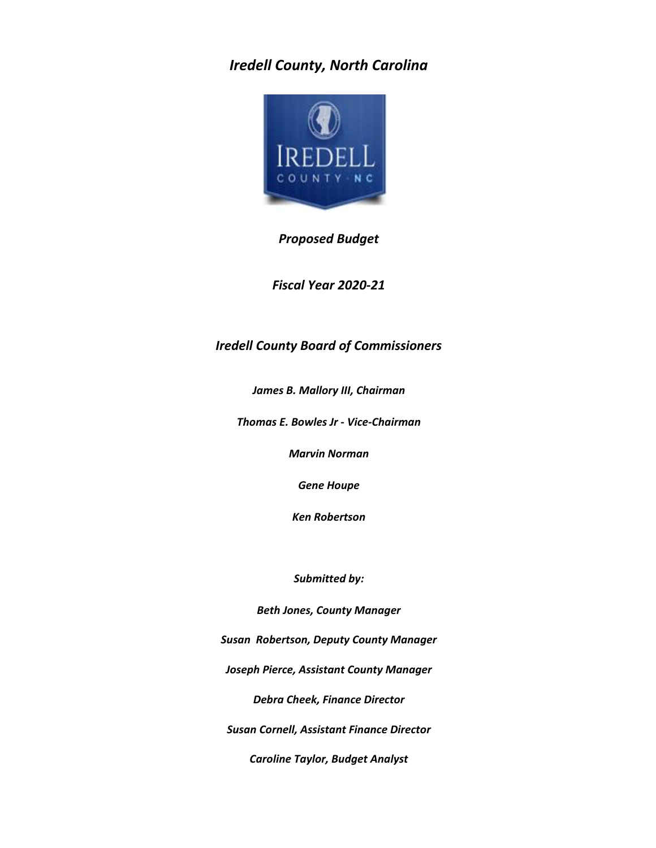### *Iredell County, North Carolina*



#### *Proposed Budget*

*Fiscal Year 2020-21*

#### *Iredell County Board of Commissioners*

*James B. Mallory III, Chairman*

*Thomas E. Bowles Jr - Vice-Chairman*

*Marvin Norman*

*Gene Houpe*

*Ken Robertson*

*Submitted by:*

*Beth Jones, County Manager*

*Susan Robertson, Deputy County Manager*

*Joseph Pierce, Assistant County Manager*

*Debra Cheek, Finance Director*

*Susan Cornell, Assistant Finance Director*

*Caroline Taylor, Budget Analyst*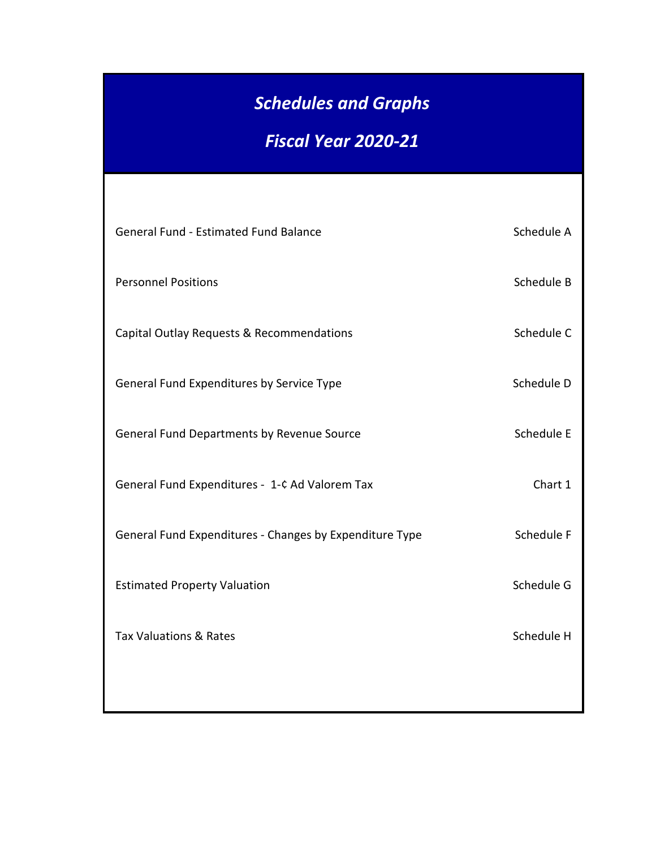# *Schedules and Graphs*

## *Fiscal Year 2020-21*

| General Fund - Estimated Fund Balance                   | Schedule A |
|---------------------------------------------------------|------------|
| <b>Personnel Positions</b>                              | Schedule B |
| Capital Outlay Requests & Recommendations               | Schedule C |
| General Fund Expenditures by Service Type               | Schedule D |
| General Fund Departments by Revenue Source              | Schedule E |
| General Fund Expenditures - 1-¢ Ad Valorem Tax          | Chart 1    |
| General Fund Expenditures - Changes by Expenditure Type | Schedule F |
| <b>Estimated Property Valuation</b>                     | Schedule G |
| <b>Tax Valuations &amp; Rates</b>                       | Schedule H |
|                                                         |            |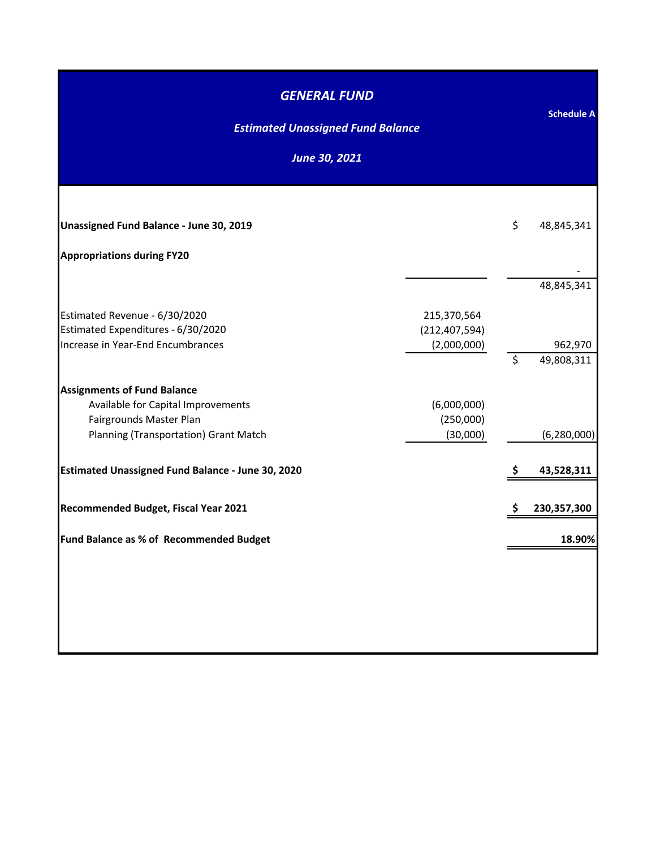| <b>GENERAL FUND</b><br><b>Estimated Unassigned Fund Balance</b>         |                                | <b>Schedule A</b> |
|-------------------------------------------------------------------------|--------------------------------|-------------------|
| <b>June 30, 2021</b>                                                    |                                |                   |
|                                                                         |                                |                   |
| Unassigned Fund Balance - June 30, 2019                                 |                                | \$<br>48,845,341  |
| <b>Appropriations during FY20</b>                                       |                                |                   |
|                                                                         |                                | 48,845,341        |
| Estimated Revenue - 6/30/2020                                           | 215,370,564                    |                   |
| Estimated Expenditures - 6/30/2020<br>Increase in Year-End Encumbrances | (212, 407, 594)<br>(2,000,000) | 962,970           |
|                                                                         |                                | \$<br>49,808,311  |
| <b>Assignments of Fund Balance</b>                                      |                                |                   |
| Available for Capital Improvements                                      | (6,000,000)                    |                   |
| Fairgrounds Master Plan<br>Planning (Transportation) Grant Match        | (250,000)<br>(30,000)          | (6, 280, 000)     |
| <b>Estimated Unassigned Fund Balance - June 30, 2020</b>                |                                | \$<br>43,528,311  |
|                                                                         |                                |                   |
| Recommended Budget, Fiscal Year 2021                                    |                                | 230,357,300       |
| Fund Balance as % of Recommended Budget                                 |                                | 18.90%            |
|                                                                         |                                |                   |
|                                                                         |                                |                   |
|                                                                         |                                |                   |
|                                                                         |                                |                   |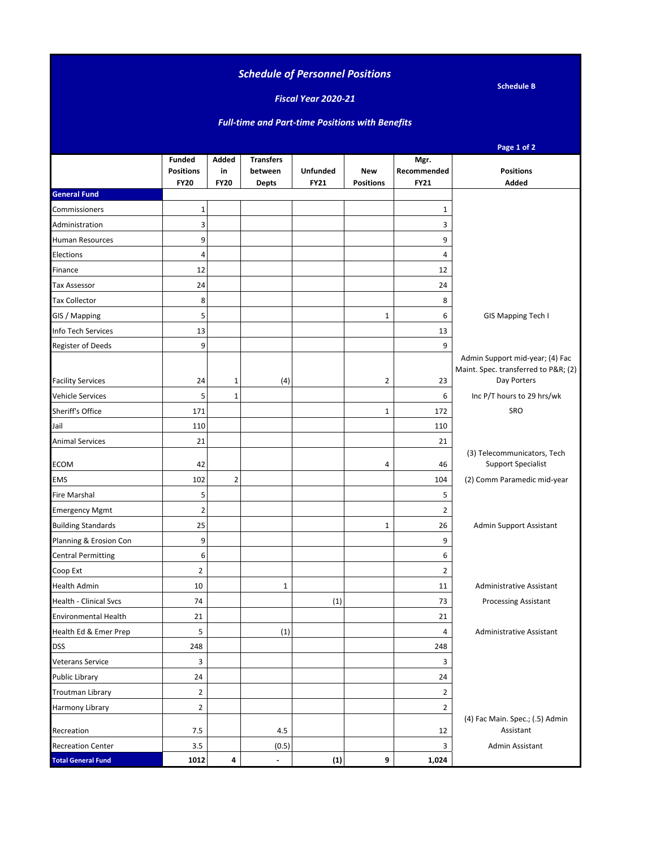#### *Schedule of Personnel Positions*

**Schedule B**

#### *Fiscal Year 2020-21*

#### *Full-time and Part-time Positions with Benefits*

|                             |                                                  |                                   |                                             |                                |                                |                                    | Page 1 of 2                                                                           |
|-----------------------------|--------------------------------------------------|-----------------------------------|---------------------------------------------|--------------------------------|--------------------------------|------------------------------------|---------------------------------------------------------------------------------------|
|                             | <b>Funded</b><br><b>Positions</b><br><b>FY20</b> | <b>Added</b><br>in<br><b>FY20</b> | <b>Transfers</b><br>between<br><b>Depts</b> | <b>Unfunded</b><br><b>FY21</b> | <b>New</b><br><b>Positions</b> | Mgr.<br>Recommended<br><b>FY21</b> | <b>Positions</b><br>Added                                                             |
| <b>General Fund</b>         |                                                  |                                   |                                             |                                |                                |                                    |                                                                                       |
| Commissioners               | 1                                                |                                   |                                             |                                |                                | 1                                  |                                                                                       |
| Administration              | 3                                                |                                   |                                             |                                |                                | 3                                  |                                                                                       |
| Human Resources             | 9                                                |                                   |                                             |                                |                                | 9                                  |                                                                                       |
| Elections                   | $\overline{4}$                                   |                                   |                                             |                                |                                | 4                                  |                                                                                       |
| Finance                     | 12                                               |                                   |                                             |                                |                                | 12                                 |                                                                                       |
| Tax Assessor                | 24                                               |                                   |                                             |                                |                                | 24                                 |                                                                                       |
| <b>Tax Collector</b>        | 8                                                |                                   |                                             |                                |                                | 8                                  |                                                                                       |
| GIS / Mapping               | 5                                                |                                   |                                             |                                | $\mathbf 1$                    | 6                                  | GIS Mapping Tech I                                                                    |
| Info Tech Services          | 13                                               |                                   |                                             |                                |                                | 13                                 |                                                                                       |
| Register of Deeds           | 9                                                |                                   |                                             |                                |                                | 9                                  |                                                                                       |
| <b>Facility Services</b>    | 24                                               | 1                                 | (4)                                         |                                | $\overline{2}$                 | 23                                 | Admin Support mid-year; (4) Fac<br>Maint. Spec. transferred to P&R (2)<br>Day Porters |
| Vehicle Services            | 5                                                | $\mathbf 1$                       |                                             |                                |                                | 6                                  | Inc P/T hours to 29 hrs/wk                                                            |
| Sheriff's Office            | 171                                              |                                   |                                             |                                | $\mathbf{1}$                   | 172                                | SRO                                                                                   |
| Jail                        | 110                                              |                                   |                                             |                                |                                | 110                                |                                                                                       |
| <b>Animal Services</b>      | 21                                               |                                   |                                             |                                |                                | 21                                 |                                                                                       |
| ECOM                        | 42                                               |                                   |                                             |                                | 4                              | 46                                 | (3) Telecommunicators, Tech<br><b>Support Specialist</b>                              |
| <b>EMS</b>                  | 102                                              | $\overline{2}$                    |                                             |                                |                                | 104                                | (2) Comm Paramedic mid-year                                                           |
| Fire Marshal                | 5                                                |                                   |                                             |                                |                                | 5                                  |                                                                                       |
| <b>Emergency Mgmt</b>       | $\overline{2}$                                   |                                   |                                             |                                |                                | 2                                  |                                                                                       |
| <b>Building Standards</b>   | 25                                               |                                   |                                             |                                | $\mathbf{1}$                   | 26                                 | Admin Support Assistant                                                               |
| Planning & Erosion Con      | 9                                                |                                   |                                             |                                |                                | 9                                  |                                                                                       |
| <b>Central Permitting</b>   | 6                                                |                                   |                                             |                                |                                | 6                                  |                                                                                       |
| Coop Ext                    | $\overline{2}$                                   |                                   |                                             |                                |                                | $\overline{2}$                     |                                                                                       |
| Health Admin                | 10                                               |                                   | $\mathbf{1}$                                |                                |                                | 11                                 | <b>Administrative Assistant</b>                                                       |
| Health - Clinical Svcs      | 74                                               |                                   |                                             | (1)                            |                                | 73                                 | <b>Processing Assistant</b>                                                           |
| <b>Environmental Health</b> | 21                                               |                                   |                                             |                                |                                | 21                                 |                                                                                       |
| Health Ed & Emer Prep       | 5                                                |                                   | (1)                                         |                                |                                | 4                                  | Administrative Assistant                                                              |
| <b>DSS</b>                  | 248                                              |                                   |                                             |                                |                                | 248                                |                                                                                       |
| Veterans Service            | 3                                                |                                   |                                             |                                |                                | 3                                  |                                                                                       |
| <b>Public Library</b>       | 24                                               |                                   |                                             |                                |                                | 24                                 |                                                                                       |
| <b>Troutman Library</b>     | $\overline{2}$                                   |                                   |                                             |                                |                                | $\overline{2}$                     |                                                                                       |
| Harmony Library             | $\overline{2}$                                   |                                   |                                             |                                |                                | $\overline{2}$                     |                                                                                       |
| Recreation                  | 7.5                                              |                                   | 4.5                                         |                                |                                | 12                                 | (4) Fac Main. Spec.; (.5) Admin<br>Assistant                                          |
| <b>Recreation Center</b>    | 3.5                                              |                                   | (0.5)                                       |                                |                                | 3                                  | Admin Assistant                                                                       |
| <b>Total General Fund</b>   | 1012                                             | 4                                 | $\blacksquare$                              | (1)                            | 9                              | 1,024                              |                                                                                       |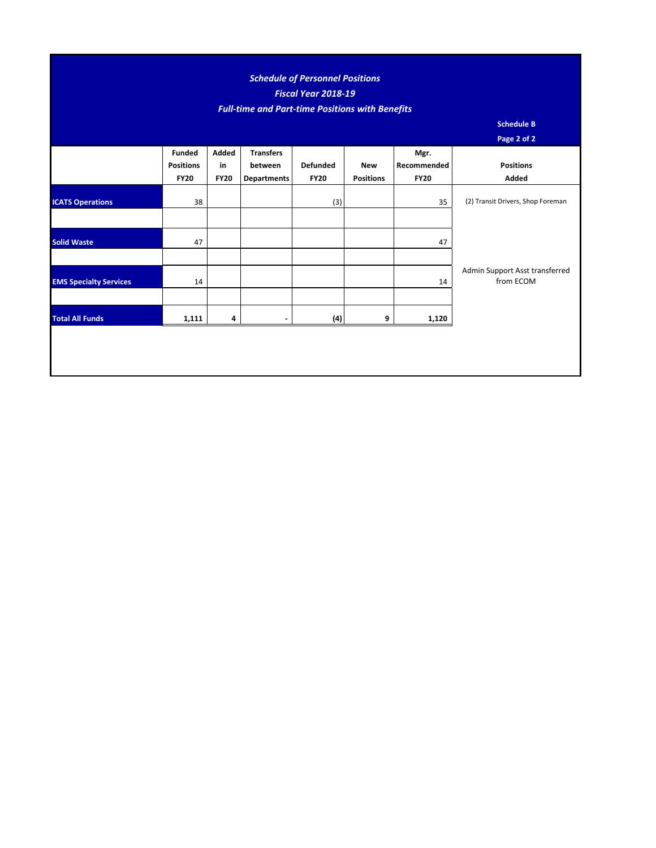#### *Schedule of Personnel Positions Fiscal Year 2018-19 Full-time and Part-time Positions with Benefits*

**Schedule B**

| Page 2 of 2 |
|-------------|
|-------------|

|                               |                                   |             |                             |                 |                  |                     | $\sim$ - $\sim$ - $\sim$ - $\sim$           |
|-------------------------------|-----------------------------------|-------------|-----------------------------|-----------------|------------------|---------------------|---------------------------------------------|
|                               | <b>Funded</b><br><b>Positions</b> | Added<br>in | <b>Transfers</b><br>between | <b>Defunded</b> | New              | Mgr.<br>Recommended | <b>Positions</b>                            |
|                               | <b>FY20</b>                       | <b>FY20</b> | Departments                 | <b>FY20</b>     | <b>Positions</b> | <b>FY20</b>         | Added                                       |
| <b>ICATS Operations</b>       | 38                                |             |                             | (3)             |                  | 35                  | (2) Transit Drivers, Shop Foreman           |
|                               |                                   |             |                             |                 |                  |                     |                                             |
| <b>Solid Waste</b>            | 47                                |             |                             |                 |                  | 47                  |                                             |
|                               |                                   |             |                             |                 |                  |                     |                                             |
| <b>EMS Specialty Services</b> | 14                                |             |                             |                 |                  | 14                  | Admin Support Asst transferred<br>from ECOM |
|                               |                                   |             |                             |                 |                  |                     |                                             |
| <b>Total All Funds</b>        | 1,111                             | 4           |                             | (4)             | 9                | 1,120               |                                             |
|                               |                                   |             |                             |                 |                  |                     |                                             |
|                               |                                   |             |                             |                 |                  |                     |                                             |
|                               |                                   |             |                             |                 |                  |                     |                                             |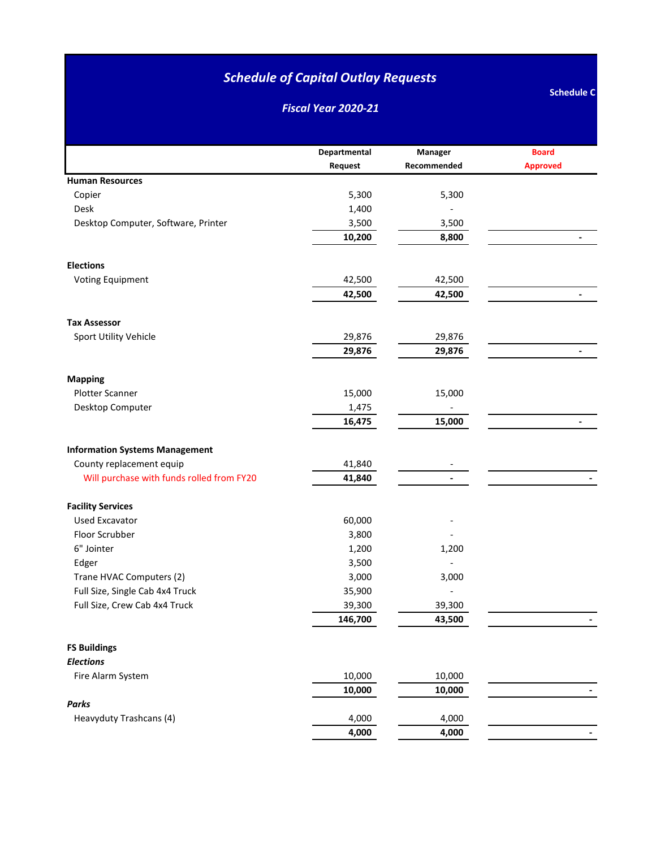*Fiscal Year 2020-21*

|                                           | Departmental | Manager     | <b>Board</b>             |
|-------------------------------------------|--------------|-------------|--------------------------|
|                                           | Request      | Recommended | <b>Approved</b>          |
| <b>Human Resources</b>                    |              |             |                          |
| Copier                                    | 5,300        | 5,300       |                          |
| Desk                                      | 1,400        |             |                          |
| Desktop Computer, Software, Printer       | 3,500        | 3,500       |                          |
|                                           | 10,200       | 8,800       |                          |
| <b>Elections</b>                          |              |             |                          |
| <b>Voting Equipment</b>                   | 42,500       | 42,500      |                          |
|                                           | 42,500       | 42,500      | $\blacksquare$           |
| <b>Tax Assessor</b>                       |              |             |                          |
| Sport Utility Vehicle                     | 29,876       | 29,876      |                          |
|                                           | 29,876       | 29,876      |                          |
| <b>Mapping</b>                            |              |             |                          |
| Plotter Scanner                           | 15,000       | 15,000      |                          |
| Desktop Computer                          | 1,475        |             |                          |
|                                           | 16,475       | 15,000      |                          |
| <b>Information Systems Management</b>     |              |             |                          |
| County replacement equip                  | 41,840       |             |                          |
| Will purchase with funds rolled from FY20 | 41,840       |             |                          |
| <b>Facility Services</b>                  |              |             |                          |
| <b>Used Excavator</b>                     | 60,000       |             |                          |
| Floor Scrubber                            | 3,800        |             |                          |
| 6" Jointer                                | 1,200        | 1,200       |                          |
| Edger                                     | 3,500        |             |                          |
| Trane HVAC Computers (2)                  | 3,000        | 3,000       |                          |
| Full Size, Single Cab 4x4 Truck           | 35,900       |             |                          |
| Full Size, Crew Cab 4x4 Truck             | 39,300       | 39,300      |                          |
|                                           | 146,700      | 43,500      |                          |
| <b>FS Buildings</b>                       |              |             |                          |
| <b>Elections</b>                          |              |             |                          |
| Fire Alarm System                         | 10,000       | 10,000      |                          |
|                                           | 10,000       | 10,000      |                          |
| <b>Parks</b>                              |              |             |                          |
| Heavyduty Trashcans (4)                   | 4,000        | 4,000       |                          |
|                                           | 4,000        | 4,000       | $\overline{\phantom{0}}$ |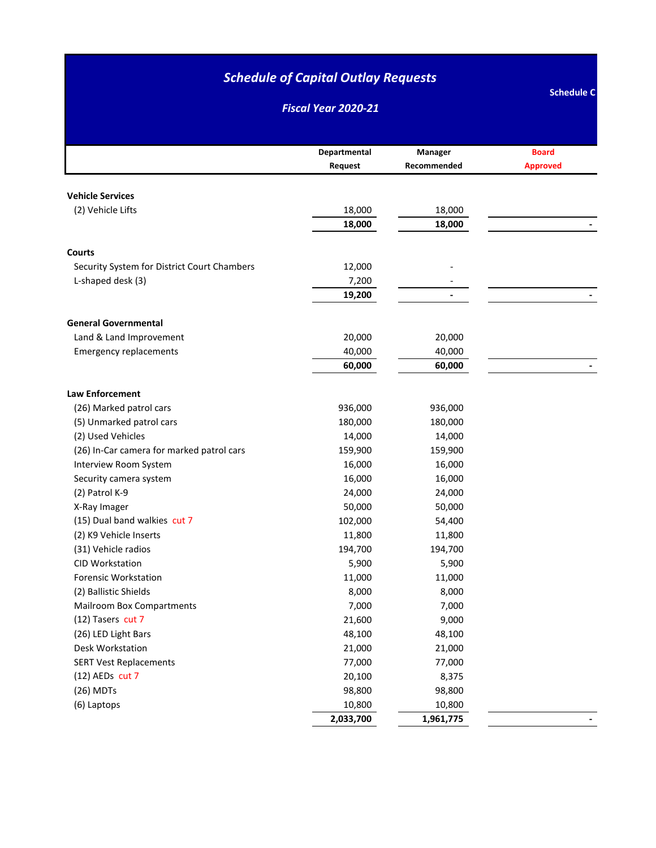*Fiscal Year 2020-21*

|                                             | Departmental | Manager     | <b>Board</b>    |
|---------------------------------------------|--------------|-------------|-----------------|
|                                             | Request      | Recommended | <b>Approved</b> |
|                                             |              |             |                 |
| <b>Vehicle Services</b>                     |              |             |                 |
| (2) Vehicle Lifts                           | 18,000       | 18,000      |                 |
|                                             | 18,000       | 18,000      |                 |
|                                             |              |             |                 |
| <b>Courts</b>                               | 12,000       |             |                 |
| Security System for District Court Chambers |              |             |                 |
| L-shaped desk (3)                           | 7,200        |             |                 |
|                                             | 19,200       |             |                 |
| <b>General Governmental</b>                 |              |             |                 |
| Land & Land Improvement                     | 20,000       | 20,000      |                 |
| <b>Emergency replacements</b>               | 40,000       | 40,000      |                 |
|                                             | 60,000       | 60,000      |                 |
|                                             |              |             |                 |
| <b>Law Enforcement</b>                      |              |             |                 |
| (26) Marked patrol cars                     | 936,000      | 936,000     |                 |
| (5) Unmarked patrol cars                    | 180,000      | 180,000     |                 |
| (2) Used Vehicles                           | 14,000       | 14,000      |                 |
| (26) In-Car camera for marked patrol cars   | 159,900      | 159,900     |                 |
| Interview Room System                       | 16,000       | 16,000      |                 |
| Security camera system                      | 16,000       | 16,000      |                 |
| (2) Patrol K-9                              | 24,000       | 24,000      |                 |
| X-Ray Imager                                | 50,000       | 50,000      |                 |
| (15) Dual band walkies cut 7                | 102,000      | 54,400      |                 |
| (2) K9 Vehicle Inserts                      | 11,800       | 11,800      |                 |
| (31) Vehicle radios                         | 194,700      | 194,700     |                 |
| <b>CID Workstation</b>                      | 5,900        | 5,900       |                 |
| <b>Forensic Workstation</b>                 | 11,000       | 11,000      |                 |
| (2) Ballistic Shields                       | 8,000        | 8,000       |                 |
| Mailroom Box Compartments                   | 7,000        | 7,000       |                 |
| (12) Tasers cut 7                           | 21,600       | 9,000       |                 |
| (26) LED Light Bars                         | 48,100       | 48,100      |                 |
| Desk Workstation                            | 21,000       | 21,000      |                 |
| <b>SERT Vest Replacements</b>               | 77,000       | 77,000      |                 |
| (12) AEDs cut 7                             | 20,100       | 8,375       |                 |
| (26) MDTs                                   | 98,800       | 98,800      |                 |
| (6) Laptops                                 | 10,800       | 10,800      |                 |
|                                             | 2,033,700    | 1,961,775   |                 |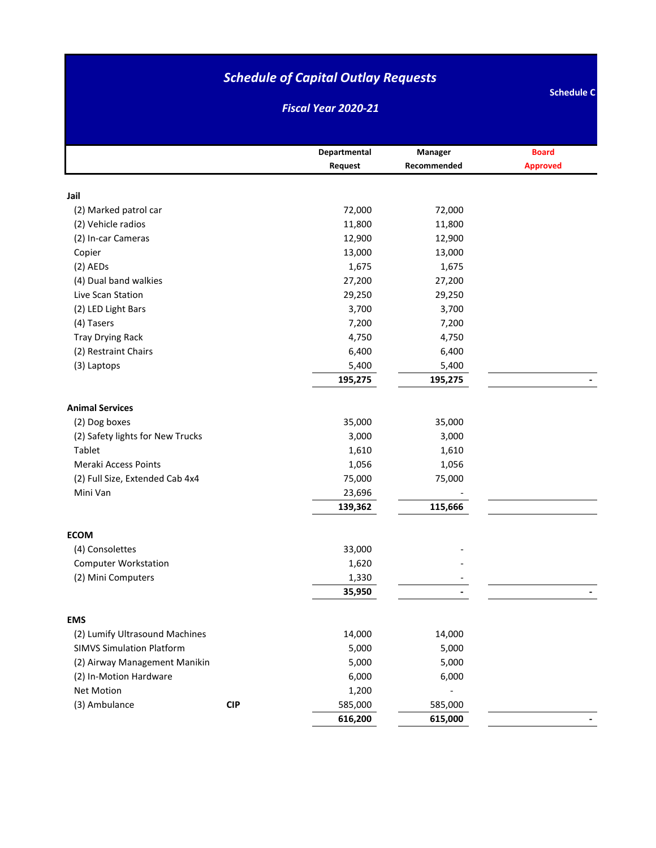*Fiscal Year 2020-21*

|                                            |     | Departmental   | Manager<br>Recommended | <b>Board</b>    |
|--------------------------------------------|-----|----------------|------------------------|-----------------|
|                                            |     | Request        |                        | <b>Approved</b> |
| Jail                                       |     |                |                        |                 |
| (2) Marked patrol car                      |     | 72,000         | 72,000                 |                 |
| (2) Vehicle radios                         |     | 11,800         | 11,800                 |                 |
| (2) In-car Cameras                         |     | 12,900         | 12,900                 |                 |
| Copier                                     |     | 13,000         | 13,000                 |                 |
| $(2)$ AEDs                                 |     | 1,675          | 1,675                  |                 |
| (4) Dual band walkies                      |     | 27,200         | 27,200                 |                 |
| Live Scan Station                          |     | 29,250         | 29,250                 |                 |
| (2) LED Light Bars                         |     | 3,700          | 3,700                  |                 |
| (4) Tasers                                 |     | 7,200          | 7,200                  |                 |
| <b>Tray Drying Rack</b>                    |     | 4,750          | 4,750                  |                 |
| (2) Restraint Chairs                       |     | 6,400          | 6,400                  |                 |
| (3) Laptops                                |     | 5,400          | 5,400                  |                 |
|                                            |     | 195,275        | 195,275                |                 |
| <b>Animal Services</b>                     |     |                |                        |                 |
|                                            |     |                |                        |                 |
| (2) Dog boxes                              |     | 35,000         | 35,000                 |                 |
| (2) Safety lights for New Trucks<br>Tablet |     | 3,000          | 3,000                  |                 |
| <b>Meraki Access Points</b>                |     | 1,610<br>1,056 | 1,610<br>1,056         |                 |
| (2) Full Size, Extended Cab 4x4            |     | 75,000         | 75,000                 |                 |
| Mini Van                                   |     | 23,696         |                        |                 |
|                                            |     | 139,362        | 115,666                |                 |
|                                            |     |                |                        |                 |
| <b>ECOM</b>                                |     |                |                        |                 |
| (4) Consolettes                            |     | 33,000         |                        |                 |
| <b>Computer Workstation</b>                |     | 1,620          |                        |                 |
| (2) Mini Computers                         |     | 1,330          |                        |                 |
|                                            |     | 35,950         |                        |                 |
| <b>EMS</b>                                 |     |                |                        |                 |
| (2) Lumify Ultrasound Machines             |     | 14,000         | 14,000                 |                 |
| <b>SIMVS Simulation Platform</b>           |     | 5,000          | 5,000                  |                 |
| (2) Airway Management Manikin              |     | 5,000          | 5,000                  |                 |
| (2) In-Motion Hardware                     |     | 6,000          | 6,000                  |                 |
| <b>Net Motion</b>                          |     | 1,200          |                        |                 |
| (3) Ambulance                              | CIP | 585,000        | 585,000                |                 |
|                                            |     | 616,200        | 615,000                |                 |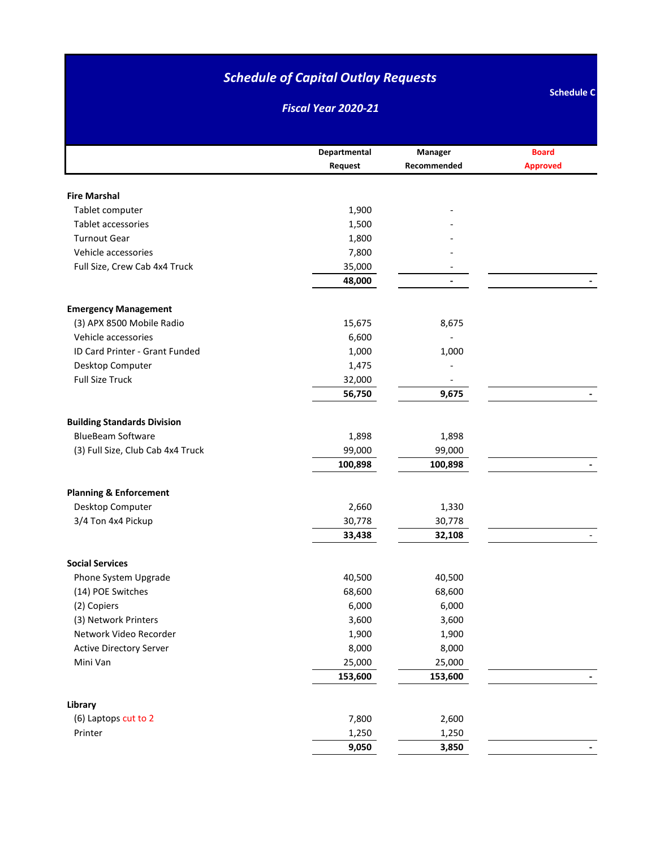*Fiscal Year 2020-21*

|                                    | Departmental | Manager        | <b>Board</b>    |
|------------------------------------|--------------|----------------|-----------------|
|                                    | Request      | Recommended    | <b>Approved</b> |
|                                    |              |                |                 |
| <b>Fire Marshal</b>                |              |                |                 |
| Tablet computer                    | 1,900        |                |                 |
| Tablet accessories                 | 1,500        |                |                 |
| <b>Turnout Gear</b>                | 1,800        |                |                 |
| Vehicle accessories                | 7,800        |                |                 |
| Full Size, Crew Cab 4x4 Truck      | 35,000       |                |                 |
|                                    | 48,000       | $\blacksquare$ |                 |
|                                    |              |                |                 |
| <b>Emergency Management</b>        |              |                |                 |
| (3) APX 8500 Mobile Radio          | 15,675       | 8,675          |                 |
| Vehicle accessories                | 6,600        |                |                 |
| ID Card Printer - Grant Funded     | 1,000        | 1,000          |                 |
| Desktop Computer                   | 1,475        |                |                 |
| <b>Full Size Truck</b>             | 32,000       |                |                 |
|                                    | 56,750       | 9,675          |                 |
| <b>Building Standards Division</b> |              |                |                 |
| <b>BlueBeam Software</b>           | 1,898        | 1,898          |                 |
| (3) Full Size, Club Cab 4x4 Truck  | 99,000       | 99,000         |                 |
|                                    | 100,898      | 100,898        |                 |
|                                    |              |                |                 |
| <b>Planning &amp; Enforcement</b>  |              |                |                 |
| Desktop Computer                   | 2,660        | 1,330          |                 |
| 3/4 Ton 4x4 Pickup                 | 30,778       | 30,778         |                 |
|                                    | 33,438       | 32,108         |                 |
| <b>Social Services</b>             |              |                |                 |
| Phone System Upgrade               | 40,500       | 40,500         |                 |
| (14) POE Switches                  | 68,600       | 68,600         |                 |
| (2) Copiers                        | 6,000        | 6,000          |                 |
| (3) Network Printers               | 3,600        | 3,600          |                 |
| Network Video Recorder             | 1,900        | 1,900          |                 |
| <b>Active Directory Server</b>     | 8,000        | 8,000          |                 |
| Mini Van                           | 25,000       | 25,000         |                 |
|                                    | 153,600      | 153,600        |                 |
|                                    |              |                |                 |
| Library                            |              |                |                 |
| (6) Laptops cut to 2               | 7,800        | 2,600          |                 |
| Printer                            | 1,250        | 1,250          |                 |
|                                    | 9,050        | 3,850          |                 |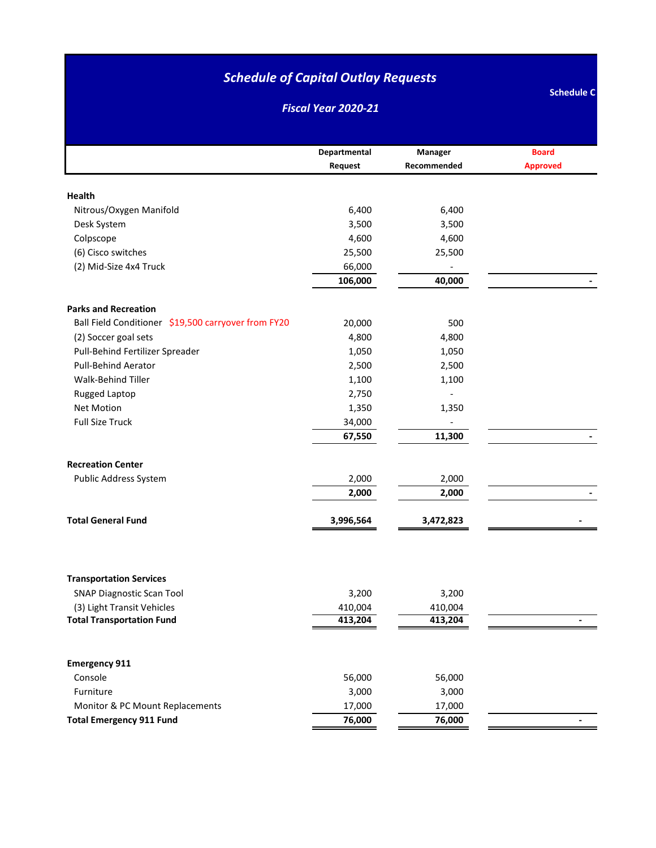*Fiscal Year 2020-21*

|                                                     | Departmental | Manager     | <b>Board</b>             |
|-----------------------------------------------------|--------------|-------------|--------------------------|
|                                                     | Request      | Recommended | <b>Approved</b>          |
|                                                     |              |             |                          |
| Health                                              |              |             |                          |
| Nitrous/Oxygen Manifold                             | 6,400        | 6,400       |                          |
| Desk System                                         | 3,500        | 3,500       |                          |
| Colpscope                                           | 4,600        | 4,600       |                          |
| (6) Cisco switches                                  | 25,500       | 25,500      |                          |
| (2) Mid-Size 4x4 Truck                              | 66,000       |             |                          |
|                                                     | 106,000      | 40,000      |                          |
| <b>Parks and Recreation</b>                         |              |             |                          |
| Ball Field Conditioner \$19,500 carryover from FY20 | 20,000       | 500         |                          |
| (2) Soccer goal sets                                | 4,800        | 4,800       |                          |
| Pull-Behind Fertilizer Spreader                     | 1,050        | 1,050       |                          |
| Pull-Behind Aerator                                 | 2,500        | 2,500       |                          |
| Walk-Behind Tiller                                  | 1,100        | 1,100       |                          |
| Rugged Laptop                                       | 2,750        |             |                          |
| <b>Net Motion</b>                                   | 1,350        | 1,350       |                          |
| <b>Full Size Truck</b>                              | 34,000       |             |                          |
|                                                     | 67,550       | 11,300      |                          |
|                                                     |              |             |                          |
| <b>Recreation Center</b>                            |              |             |                          |
| Public Address System                               | 2,000        | 2,000       |                          |
|                                                     | 2,000        | 2,000       |                          |
|                                                     |              |             |                          |
| <b>Total General Fund</b>                           | 3,996,564    | 3,472,823   |                          |
|                                                     |              |             |                          |
|                                                     |              |             |                          |
| <b>Transportation Services</b>                      |              |             |                          |
| <b>SNAP Diagnostic Scan Tool</b>                    | 3,200        | 3,200       |                          |
| (3) Light Transit Vehicles                          | 410,004      | 410,004     |                          |
| <b>Total Transportation Fund</b>                    | 413,204      | 413,204     |                          |
|                                                     |              |             |                          |
| <b>Emergency 911</b>                                |              |             |                          |
| Console                                             | 56,000       | 56,000      |                          |
| Furniture                                           | 3,000        | 3,000       |                          |
| Monitor & PC Mount Replacements                     | 17,000       | 17,000      |                          |
| <b>Total Emergency 911 Fund</b>                     | 76,000       | 76,000      | $\overline{\phantom{0}}$ |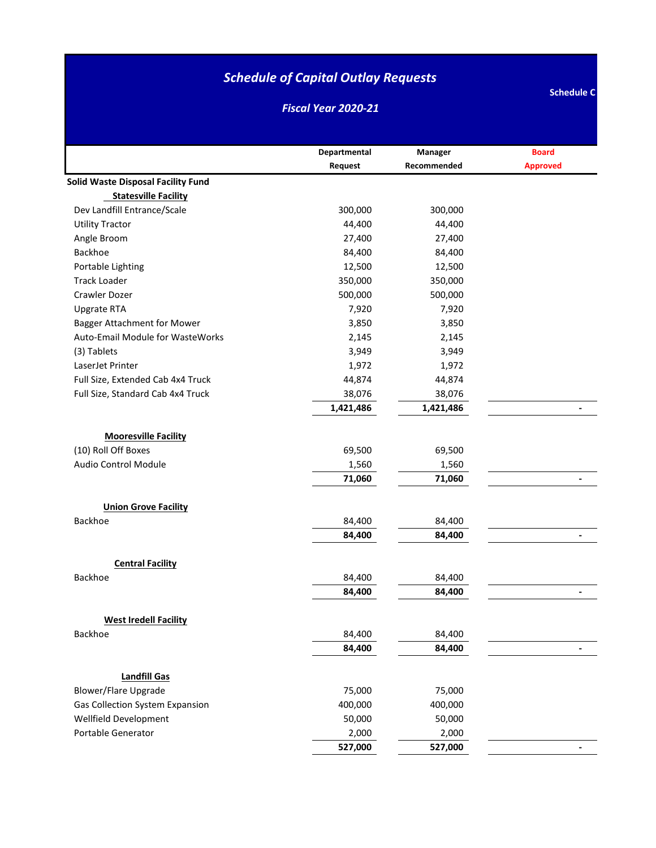*Fiscal Year 2020-21*

|                                                                            | Departmental    | Manager         | <b>Board</b>    |
|----------------------------------------------------------------------------|-----------------|-----------------|-----------------|
|                                                                            | Request         | Recommended     | <b>Approved</b> |
| <b>Solid Waste Disposal Facility Fund</b>                                  |                 |                 |                 |
| <b>Statesville Facility</b>                                                |                 |                 |                 |
| Dev Landfill Entrance/Scale                                                | 300,000         | 300,000         |                 |
| <b>Utility Tractor</b>                                                     | 44,400          | 44,400          |                 |
| Angle Broom                                                                | 27,400          | 27,400          |                 |
| Backhoe                                                                    | 84,400          | 84,400          |                 |
| Portable Lighting                                                          | 12,500          | 12,500          |                 |
| <b>Track Loader</b>                                                        | 350,000         | 350,000         |                 |
| Crawler Dozer                                                              | 500,000         | 500,000         |                 |
| <b>Upgrate RTA</b>                                                         | 7,920           | 7,920           |                 |
| <b>Bagger Attachment for Mower</b>                                         | 3,850           | 3,850           |                 |
| <b>Auto-Email Module for WasteWorks</b>                                    | 2,145           | 2,145           |                 |
| (3) Tablets                                                                | 3,949           | 3,949           |                 |
| LaserJet Printer                                                           | 1,972           | 1,972           |                 |
| Full Size, Extended Cab 4x4 Truck                                          | 44,874          | 44,874          |                 |
| Full Size, Standard Cab 4x4 Truck                                          | 38,076          | 38,076          |                 |
|                                                                            | 1,421,486       | 1,421,486       |                 |
| <b>Mooresville Facility</b><br>(10) Roll Off Boxes<br>Audio Control Module | 69,500<br>1,560 | 69,500<br>1,560 |                 |
|                                                                            | 71,060          | 71,060          |                 |
|                                                                            |                 |                 |                 |
| <b>Union Grove Facility</b>                                                |                 |                 |                 |
| Backhoe                                                                    | 84,400          | 84,400          |                 |
|                                                                            | 84,400          | 84,400          | $\overline{a}$  |
|                                                                            |                 |                 |                 |
| <b>Central Facility</b>                                                    |                 |                 |                 |
| Backhoe                                                                    | 84,400          | 84,400          |                 |
|                                                                            | 84,400          | 84,400          |                 |
|                                                                            |                 |                 |                 |
| <b>West Iredell Facility</b>                                               |                 |                 |                 |
| Backhoe                                                                    | 84,400          | 84,400          |                 |
|                                                                            | 84,400          | 84,400          |                 |
|                                                                            |                 |                 |                 |
| <b>Landfill Gas</b>                                                        |                 |                 |                 |
| <b>Blower/Flare Upgrade</b>                                                | 75,000          | 75,000          |                 |
| <b>Gas Collection System Expansion</b>                                     | 400,000         | 400,000         |                 |
| Wellfield Development                                                      | 50,000          | 50,000          |                 |
| Portable Generator                                                         | 2,000           | 2,000           |                 |
|                                                                            | 527,000         | 527,000         |                 |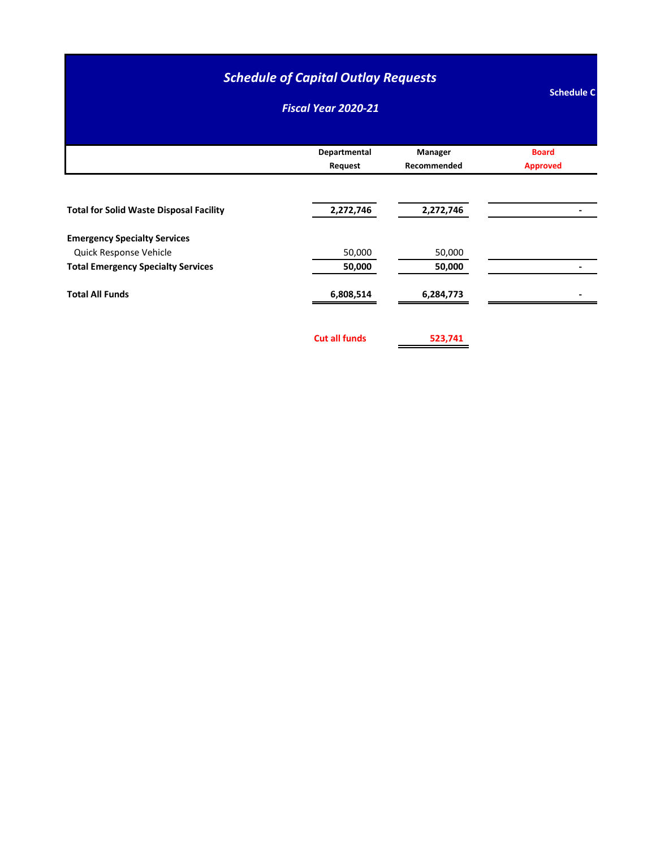#### *Fiscal Year 2020-21*

|                                                | Departmental<br>Request | Manager<br>Recommended | <b>Board</b><br><b>Approved</b> |
|------------------------------------------------|-------------------------|------------------------|---------------------------------|
|                                                |                         |                        |                                 |
| <b>Total for Solid Waste Disposal Facility</b> | 2,272,746               | 2,272,746              |                                 |
| <b>Emergency Specialty Services</b>            |                         |                        |                                 |
| Quick Response Vehicle                         | 50,000                  | 50,000                 |                                 |
| <b>Total Emergency Specialty Services</b>      | 50,000                  | 50,000                 |                                 |
| <b>Total All Funds</b>                         | 6,808,514               | 6,284,773              |                                 |

**Cut all funds 523,741**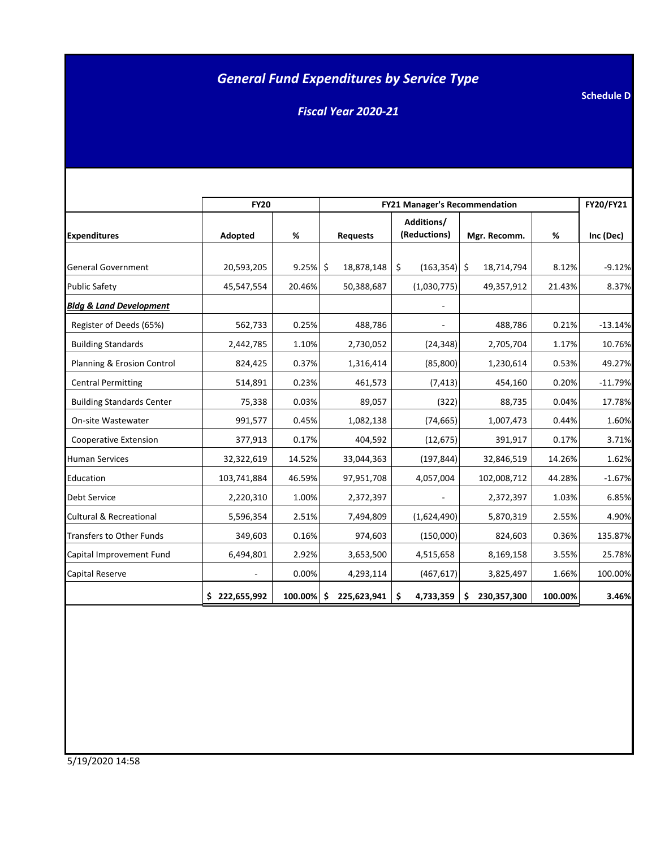## *General Fund Expenditures by Service Type*

*Fiscal Year 2020-21*

|                                    | <b>FY20</b>   |         | <b>FY21 Manager's Recommendation</b> | FY20/FY21                  |                   |         |           |
|------------------------------------|---------------|---------|--------------------------------------|----------------------------|-------------------|---------|-----------|
| <b>Expenditures</b>                | Adopted       | %       | <b>Requests</b>                      | Additions/<br>(Reductions) | Mgr. Recomm.      | %       | Inc (Dec) |
|                                    |               |         |                                      |                            |                   |         |           |
| <b>General Government</b>          | 20,593,205    | 9.25%   | \$<br>18,878,148                     | \$<br>(163, 354)           | \$<br>18,714,794  | 8.12%   | $-9.12%$  |
| <b>Public Safety</b>               | 45,547,554    | 20.46%  | 50,388,687                           | (1,030,775)                | 49,357,912        | 21.43%  | 8.37%     |
| <b>Bldg &amp; Land Development</b> |               |         |                                      |                            |                   |         |           |
| Register of Deeds (65%)            | 562,733       | 0.25%   | 488,786                              |                            | 488,786           | 0.21%   | $-13.14%$ |
| <b>Building Standards</b>          | 2,442,785     | 1.10%   | 2,730,052                            | (24, 348)                  | 2,705,704         | 1.17%   | 10.76%    |
| Planning & Erosion Control         | 824,425       | 0.37%   | 1,316,414                            | (85, 800)                  | 1,230,614         | 0.53%   | 49.27%    |
| <b>Central Permitting</b>          | 514,891       | 0.23%   | 461,573                              | (7, 413)                   | 454,160           | 0.20%   | $-11.79%$ |
| <b>Building Standards Center</b>   | 75,338        | 0.03%   | 89,057                               | (322)                      | 88,735            | 0.04%   | 17.78%    |
| On-site Wastewater                 | 991,577       | 0.45%   | 1,082,138                            | (74, 665)                  | 1,007,473         | 0.44%   | 1.60%     |
| Cooperative Extension              | 377,913       | 0.17%   | 404,592                              | (12, 675)                  | 391,917           | 0.17%   | 3.71%     |
| <b>Human Services</b>              | 32,322,619    | 14.52%  | 33,044,363                           | (197, 844)                 | 32,846,519        | 14.26%  | 1.62%     |
| Education                          | 103,741,884   | 46.59%  | 97,951,708                           | 4,057,004                  | 102,008,712       | 44.28%  | $-1.67%$  |
| Debt Service                       | 2,220,310     | 1.00%   | 2,372,397                            |                            | 2,372,397         | 1.03%   | 6.85%     |
| <b>Cultural &amp; Recreational</b> | 5,596,354     | 2.51%   | 7,494,809                            | (1,624,490)                | 5,870,319         | 2.55%   | 4.90%     |
| <b>Transfers to Other Funds</b>    | 349,603       | 0.16%   | 974,603                              | (150,000)                  | 824,603           | 0.36%   | 135.87%   |
| Capital Improvement Fund           | 6,494,801     | 2.92%   | 3,653,500                            | 4,515,658                  | 8,169,158         | 3.55%   | 25.78%    |
| Capital Reserve                    |               | 0.00%   | 4,293,114                            | (467, 617)                 | 3,825,497         | 1.66%   | 100.00%   |
|                                    | \$222,655,992 | 100.00% | \$.<br>225,623,941                   | 4,733,359<br>\$            | 230,357,300<br>\$ | 100.00% | 3.46%     |

**Schedule D**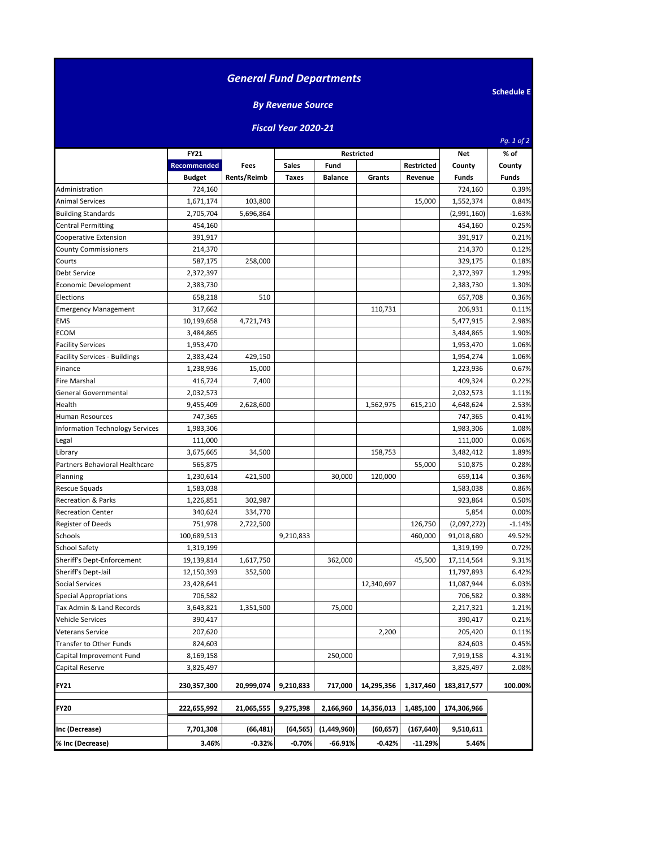| <b>General Fund Departments</b>        |                    |             |                          |                |                   |                   |              |                   |
|----------------------------------------|--------------------|-------------|--------------------------|----------------|-------------------|-------------------|--------------|-------------------|
|                                        |                    |             |                          |                |                   |                   |              | <b>Schedule E</b> |
|                                        |                    |             | <b>By Revenue Source</b> |                |                   |                   |              |                   |
|                                        |                    |             | Fiscal Year 2020-21      |                |                   |                   |              | Pg. 1 of 2        |
|                                        | <b>FY21</b>        |             |                          |                | <b>Restricted</b> |                   | <b>Net</b>   | % of              |
|                                        | <b>Recommended</b> | Fees        | <b>Sales</b>             | Fund           |                   | <b>Restricted</b> | County       | County            |
|                                        | <b>Budget</b>      | Rents/Reimb | <b>Taxes</b>             | <b>Balance</b> | Grants            | Revenue           | <b>Funds</b> | Funds             |
| Administration                         | 724,160            |             |                          |                |                   |                   | 724,160      | 0.39%             |
| Animal Services                        | 1,671,174          | 103,800     |                          |                |                   | 15,000            | 1,552,374    | 0.84%             |
| <b>Building Standards</b>              | 2,705,704          | 5,696,864   |                          |                |                   |                   | (2,991,160)  | $-1.63%$          |
| <b>Central Permitting</b>              | 454,160            |             |                          |                |                   |                   | 454,160      | 0.25%             |
| Cooperative Extension                  | 391,917            |             |                          |                |                   |                   | 391,917      | 0.21%             |
| <b>County Commissioners</b>            | 214,370            |             |                          |                |                   |                   | 214,370      | 0.12%             |
| Courts                                 | 587,175            | 258,000     |                          |                |                   |                   | 329,175      | 0.18%             |
| Debt Service                           | 2,372,397          |             |                          |                |                   |                   | 2,372,397    | 1.29%             |
| Economic Development                   | 2,383,730          |             |                          |                |                   |                   | 2,383,730    | 1.30%             |
| Elections                              | 658,218            | 510         |                          |                |                   |                   | 657,708      | 0.36%             |
| <b>Emergency Management</b>            | 317,662            |             |                          |                | 110,731           |                   | 206,931      | 0.11%             |
| EMS                                    | 10,199,658         | 4,721,743   |                          |                |                   |                   | 5,477,915    | 2.98%             |
| ECOM                                   | 3,484,865          |             |                          |                |                   |                   | 3,484,865    | 1.90%             |
| <b>Facility Services</b>               | 1,953,470          |             |                          |                |                   |                   | 1,953,470    | 1.06%             |
| Facility Services - Buildings          | 2,383,424          | 429,150     |                          |                |                   |                   | 1,954,274    | 1.06%             |
| Finance                                | 1,238,936          | 15,000      |                          |                |                   |                   | 1,223,936    | 0.67%             |
| Fire Marshal                           | 416,724            | 7,400       |                          |                |                   |                   | 409,324      | 0.22%             |
| General Governmental                   | 2,032,573          |             |                          |                |                   |                   | 2,032,573    | 1.11%             |
| Health                                 | 9,455,409          | 2,628,600   |                          |                | 1,562,975         | 615,210           | 4,648,624    | 2.53%             |
| Human Resources                        | 747,365            |             |                          |                |                   |                   | 747,365      | 0.41%             |
| <b>Information Technology Services</b> | 1,983,306          |             |                          |                |                   |                   | 1,983,306    | 1.08%             |
| Legal                                  | 111,000            |             |                          |                |                   |                   | 111,000      | 0.06%             |
| Library                                | 3,675,665          | 34,500      |                          |                | 158,753           |                   | 3,482,412    | 1.89%             |
| Partners Behavioral Healthcare         | 565,875            |             |                          |                |                   | 55,000            | 510,875      | 0.28%             |
| Planning                               | 1,230,614          | 421,500     |                          | 30,000         | 120,000           |                   | 659,114      | 0.36%             |
| <b>Rescue Squads</b>                   | 1,583,038          |             |                          |                |                   |                   | 1,583,038    | 0.86%             |
| Recreation & Parks                     | 1,226,851          | 302,987     |                          |                |                   |                   | 923,864      | 0.50%             |
| <b>Recreation Center</b>               | 340,624            | 334,770     |                          |                |                   |                   | 5,854        | 0.00%             |
| Register of Deeds                      | 751,978            | 2,722,500   |                          |                |                   | 126,750           | (2,097,272)  | -1.14%            |
| Schools                                | 100,689,513        |             | 9,210,833                |                |                   | 460,000           | 91,018,680   | 49.52%            |
| School Safety                          | 1,319,199          |             |                          |                |                   |                   | 1,319,199    | 0.72%             |
| Sheriff's Dept-Enforcement             | 19,139,814         | 1,617,750   |                          | 362,000        |                   | 45,500            | 17,114,564   | 9.31%             |
| Sheriff's Dept-Jail                    | 12,150,393         | 352,500     |                          |                |                   |                   | 11,797,893   | 6.42%             |
| <b>Social Services</b>                 | 23,428,641         |             |                          |                | 12,340,697        |                   | 11,087,944   | 6.03%             |
| <b>Special Appropriations</b>          | 706,582            |             |                          |                |                   |                   | 706,582      | 0.38%             |
| Tax Admin & Land Records               | 3,643,821          | 1,351,500   |                          | 75,000         |                   |                   | 2,217,321    | 1.21%             |
| Vehicle Services                       | 390,417            |             |                          |                |                   |                   | 390,417      | 0.21%             |
| Veterans Service                       | 207,620            |             |                          |                | 2,200             |                   | 205,420      | 0.11%             |
| Transfer to Other Funds                | 824,603            |             |                          |                |                   |                   | 824,603      | 0.45%             |
| Capital Improvement Fund               | 8,169,158          |             |                          | 250,000        |                   |                   | 7,919,158    | 4.31%             |
| Capital Reserve                        | 3,825,497          |             |                          |                |                   |                   | 3,825,497    | 2.08%             |
| FY21                                   | 230,357,300        | 20,999,074  | 9,210,833                | 717,000        | 14,295,356        | 1,317,460         | 183,817,577  | 100.00%           |
| <b>FY20</b>                            | 222,655,992        | 21,065,555  | 9,275,398                | 2,166,960      | 14,356,013        | 1,485,100         | 174,306,966  |                   |
| Inc (Decrease)                         | 7,701,308          |             |                          |                |                   |                   | 9,510,611    |                   |
|                                        |                    | (66, 481)   | (64,565)                 | (1,449,960)    | (60,657)          | (167, 640)        |              |                   |
| % Inc (Decrease)                       | 3.46%              | $-0.32%$    | $-0.70%$                 | $-66.91%$      | $-0.42%$          | $-11.29%$         | 5.46%        |                   |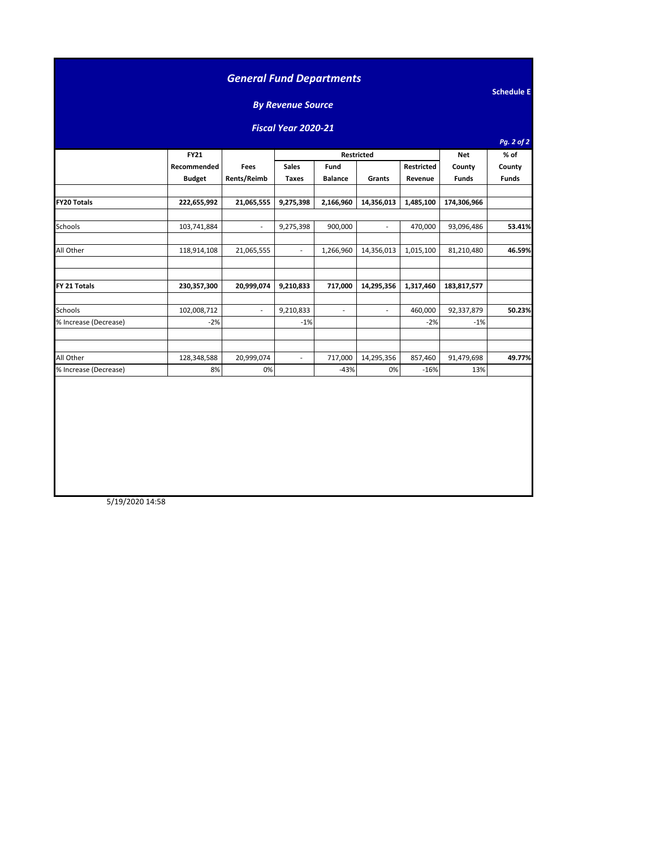|                            |                            |                          | <b>By Revenue Source</b> |                                  |                          |           |              |                |  |  |
|----------------------------|----------------------------|--------------------------|--------------------------|----------------------------------|--------------------------|-----------|--------------|----------------|--|--|
| <b>Fiscal Year 2020-21</b> |                            |                          |                          |                                  |                          |           |              |                |  |  |
|                            |                            |                          |                          |                                  |                          |           | <b>Net</b>   | Pg. 2 of 2     |  |  |
|                            | <b>FY21</b><br>Recommended | Fees                     | <b>Sales</b>             | Restricted<br>Fund<br>Restricted |                          |           |              | % of<br>County |  |  |
|                            | <b>Budget</b>              | Rents/Reimb              | <b>Taxes</b>             | <b>Balance</b>                   | Grants                   | Revenue   | <b>Funds</b> | <b>Funds</b>   |  |  |
| <b>FY20 Totals</b>         | 222,655,992                | 21,065,555               | 9,275,398                | 2,166,960                        | 14,356,013               | 1,485,100 | 174,306,966  |                |  |  |
| Schools                    | 103,741,884                | $\overline{\phantom{a}}$ | 9,275,398                | 900,000                          | $\overline{\phantom{a}}$ | 470,000   | 93,096,486   | 53.41%         |  |  |
| All Other                  | 118,914,108                | 21,065,555               | $\sim$                   | 1,266,960                        | 14,356,013               | 1,015,100 | 81,210,480   | 46.59%         |  |  |
| FY 21 Totals               | 230,357,300                | 20,999,074               | 9,210,833                | 717,000                          | 14,295,356               | 1,317,460 | 183,817,577  |                |  |  |
| Schools                    | 102,008,712                | $\overline{\phantom{a}}$ | 9,210,833                | $\blacksquare$                   | $\overline{\phantom{a}}$ | 460,000   | 92,337,879   | 50.23%         |  |  |
| % Increase (Decrease)      | $-2%$                      |                          | $-1%$                    |                                  |                          | $-2%$     | $-1%$        |                |  |  |
| All Other                  | 128,348,588                | 20,999,074               | $\sim$                   | 717,000                          | 14,295,356               | 857,460   | 91,479,698   | 49.77%         |  |  |
| % Increase (Decrease)      | 8%                         | 0%                       |                          | $-43%$                           | 0%                       | $-16%$    | 13%          |                |  |  |

5/19/2020 14:58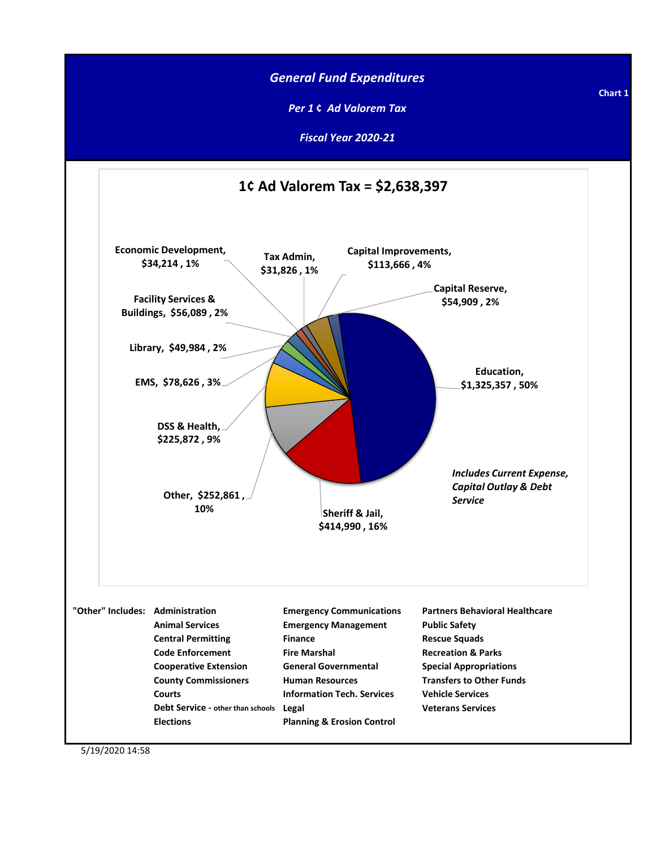

5/19/2020 14:58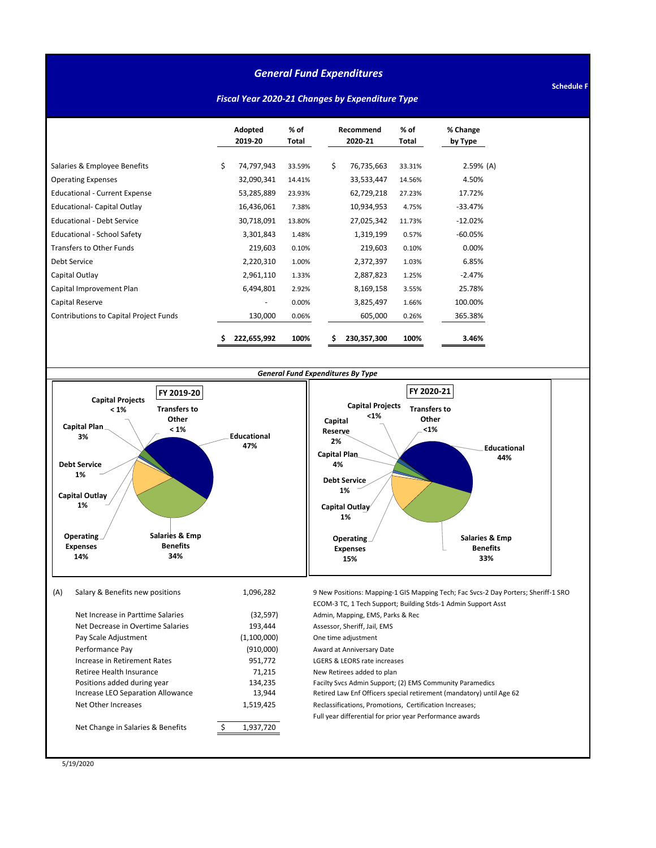#### *General Fund Expenditures*

**Schedule F**

#### *Fiscal Year 2020-21 Changes by Expenditure Type*

|                                               | Adopted<br>2019-20 | $%$ of<br>Total |    | Recommend<br>2020-21 | $%$ of<br>Total | % Change<br>by Type |
|-----------------------------------------------|--------------------|-----------------|----|----------------------|-----------------|---------------------|
| Salaries & Employee Benefits                  | \$<br>74,797,943   | 33.59%          | \$ | 76,735,663           | 33.31%          | $2.59%$ (A)         |
| <b>Operating Expenses</b>                     | 32,090,341         | 14.41%          |    | 33,533,447           | 14.56%          | 4.50%               |
| <b>Educational - Current Expense</b>          | 53,285,889         | 23.93%          |    | 62,729,218           | 27.23%          | 17.72%              |
| <b>Educational- Capital Outlay</b>            | 16,436,061         | 7.38%           |    | 10,934,953           | 4.75%           | $-33.47%$           |
| <b>Educational - Debt Service</b>             | 30,718,091         | 13.80%          |    | 27,025,342           | 11.73%          | $-12.02%$           |
| Educational - School Safety                   | 3,301,843          | 1.48%           |    | 1,319,199            | 0.57%           | $-60.05%$           |
| <b>Transfers to Other Funds</b>               | 219,603            | 0.10%           |    | 219,603              | 0.10%           | 0.00%               |
| Debt Service                                  | 2,220,310          | 1.00%           |    | 2,372,397            | 1.03%           | 6.85%               |
| Capital Outlay                                | 2,961,110          | 1.33%           |    | 2,887,823            | 1.25%           | $-2.47%$            |
| Capital Improvement Plan                      | 6,494,801          | 2.92%           |    | 8,169,158            | 3.55%           | 25.78%              |
| Capital Reserve                               |                    | 0.00%           |    | 3,825,497            | 1.66%           | 100.00%             |
| <b>Contributions to Capital Project Funds</b> | 130,000            | 0.06%           |    | 605,000              | 0.26%           | 365.38%             |
|                                               | 222,655,992        | 100%            | \$ | 230,357,300          | 100%            | 3.46%               |



5/19/2020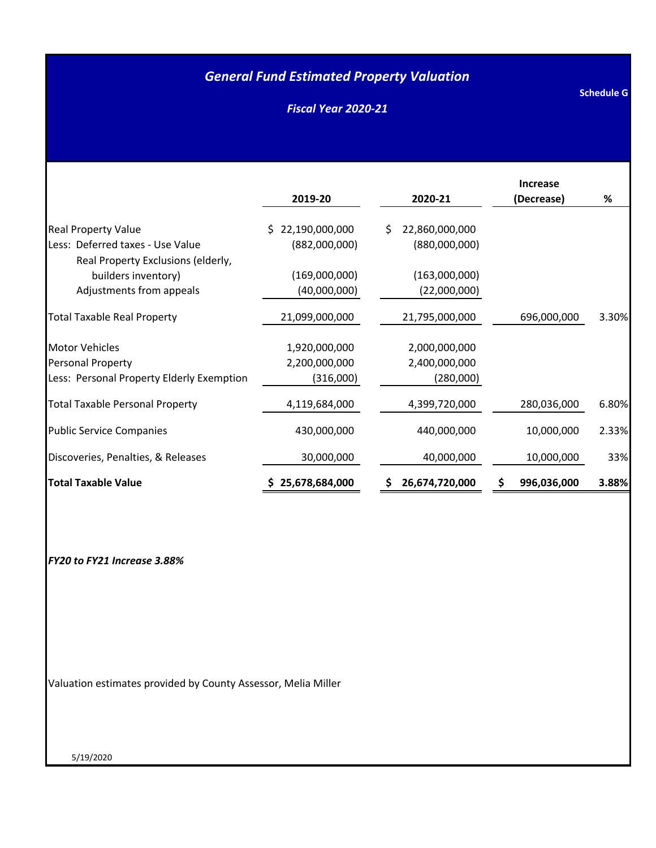### *General Fund Estimated Property Valuation*

*Fiscal Year 2020-21*

| <b>Schedule G</b> |  |
|-------------------|--|
|                   |  |
|                   |  |

|                                           |                  |                      | <b>Increase</b>   |       |
|-------------------------------------------|------------------|----------------------|-------------------|-------|
|                                           | 2019-20          | 2020-21              | (Decrease)        | %     |
| <b>Real Property Value</b>                | \$22,190,000,000 | 22,860,000,000<br>S. |                   |       |
| Less: Deferred taxes - Use Value          | (882,000,000)    | (880,000,000)        |                   |       |
| Real Property Exclusions (elderly,        |                  |                      |                   |       |
| builders inventory)                       | (169,000,000)    | (163,000,000)        |                   |       |
| Adjustments from appeals                  | (40,000,000)     | (22,000,000)         |                   |       |
| <b>Total Taxable Real Property</b>        | 21,099,000,000   | 21,795,000,000       | 696,000,000       | 3.30% |
| <b>Motor Vehicles</b>                     | 1,920,000,000    | 2,000,000,000        |                   |       |
| <b>Personal Property</b>                  | 2,200,000,000    | 2,400,000,000        |                   |       |
| Less: Personal Property Elderly Exemption | (316,000)        | (280,000)            |                   |       |
| <b>Total Taxable Personal Property</b>    | 4,119,684,000    | 4,399,720,000        | 280,036,000       | 6.80% |
| <b>Public Service Companies</b>           | 430,000,000      | 440,000,000          | 10,000,000        | 2.33% |
| Discoveries, Penalties, & Releases        | 30,000,000       | 40,000,000           | 10,000,000        | 33%   |
| <b>Total Taxable Value</b>                | \$25,678,684,000 | 26,674,720,000       | \$<br>996,036,000 | 3.88% |

*FY20 to FY21 Increase 3.88%*

Valuation estimates provided by County Assessor, Melia Miller

5/19/2020